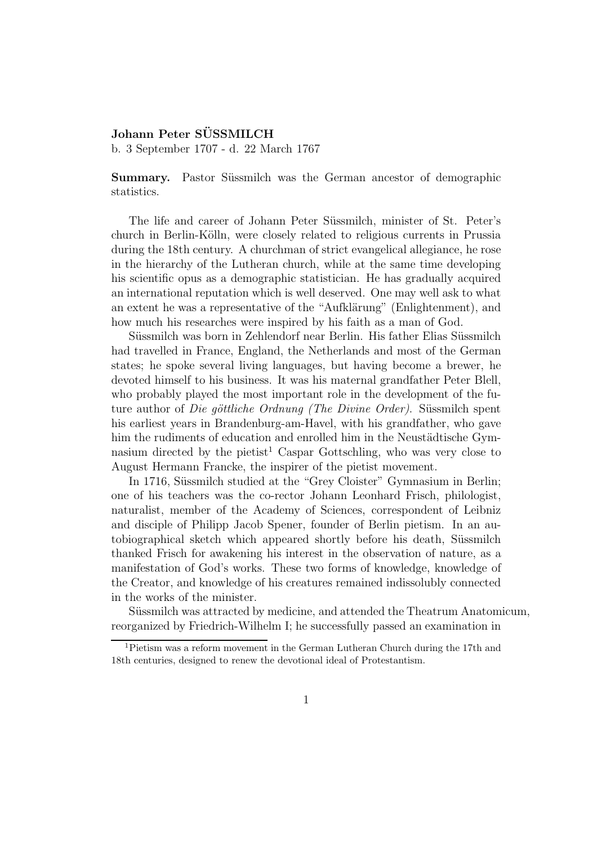## Johann Peter SÜSSMILCH

b. 3 September 1707 - d. 22 March 1767

Summary. Pastor Süssmilch was the German ancestor of demographic statistics.

The life and career of Johann Peter Süssmilch, minister of St. Peter's church in Berlin-Kölln, were closely related to religious currents in Prussia during the 18th century. A churchman of strict evangelical allegiance, he rose in the hierarchy of the Lutheran church, while at the same time developing his scientific opus as a demographic statistician. He has gradually acquired an international reputation which is well deserved. One may well ask to what an extent he was a representative of the "Aufklärung" (Enlightenment), and how much his researches were inspired by his faith as a man of God.

Süssmilch was born in Zehlendorf near Berlin. His father Elias Süssmilch had travelled in France, England, the Netherlands and most of the German states; he spoke several living languages, but having become a brewer, he devoted himself to his business. It was his maternal grandfather Peter Blell, who probably played the most important role in the development of the future author of *Die göttliche Ordnung (The Divine Order)*. Süssmilch spent his earliest years in Brandenburg-am-Havel, with his grandfather, who gave him the rudiments of education and enrolled him in the Neustädtische Gymnasium directed by the pietist<sup>1</sup> Caspar Gottschling, who was very close to August Hermann Francke, the inspirer of the pietist movement.

In 1716, Süssmilch studied at the "Grey Cloister" Gymnasium in Berlin; one of his teachers was the co-rector Johann Leonhard Frisch, philologist, naturalist, member of the Academy of Sciences, correspondent of Leibniz and disciple of Philipp Jacob Spener, founder of Berlin pietism. In an autobiographical sketch which appeared shortly before his death, Süssmilch thanked Frisch for awakening his interest in the observation of nature, as a manifestation of God's works. These two forms of knowledge, knowledge of the Creator, and knowledge of his creatures remained indissolubly connected in the works of the minister.

Süssmilch was attracted by medicine, and attended the Theatrum Anatomicum, reorganized by Friedrich-Wilhelm I; he successfully passed an examination in

<sup>&</sup>lt;sup>1</sup>Pietism was a reform movement in the German Lutheran Church during the 17th and 18th centuries, designed to renew the devotional ideal of Protestantism.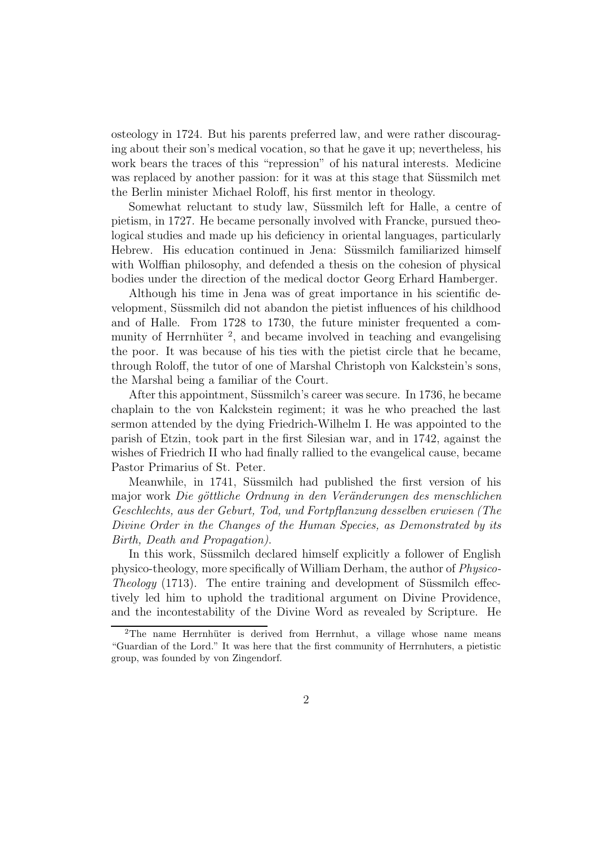osteology in 1724. But his parents preferred law, and were rather discouraging about their son's medical vocation, so that he gave it up; nevertheless, his work bears the traces of this "repression" of his natural interests. Medicine was replaced by another passion: for it was at this stage that Süssmilch met the Berlin minister Michael Roloff, his first mentor in theology.

Somewhat reluctant to study law, Süssmilch left for Halle, a centre of pietism, in 1727. He became personally involved with Francke, pursued theological studies and made up his deficiency in oriental languages, particularly Hebrew. His education continued in Jena: Süssmilch familiarized himself with Wolffian philosophy, and defended a thesis on the cohesion of physical bodies under the direction of the medical doctor Georg Erhard Hamberger.

Although his time in Jena was of great importance in his scientific development, Süssmilch did not abandon the pietist influences of his childhood and of Halle. From 1728 to 1730, the future minister frequented a community of Herrnhüter<sup>2</sup>, and became involved in teaching and evangelising the poor. It was because of his ties with the pietist circle that he became, through Roloff, the tutor of one of Marshal Christoph von Kalckstein's sons, the Marshal being a familiar of the Court.

After this appointment, Süssmilch's career was secure. In 1736, he became chaplain to the von Kalckstein regiment; it was he who preached the last sermon attended by the dying Friedrich-Wilhelm I. He was appointed to the parish of Etzin, took part in the first Silesian war, and in 1742, against the wishes of Friedrich II who had finally rallied to the evangelical cause, became Pastor Primarius of St. Peter.

Meanwhile, in 1741, Süssmilch had published the first version of his major work Die göttliche Ordnung in den Veränderungen des menschlichen Geschlechts, aus der Geburt, Tod, und Fortpflanzung desselben erwiesen (The Divine Order in the Changes of the Human Species, as Demonstrated by its Birth, Death and Propagation).

In this work, Süssmilch declared himself explicitly a follower of English physico-theology, more specifically of William Derham, the author of Physico-Theology  $(1713)$ . The entire training and development of Süssmilch effectively led him to uphold the traditional argument on Divine Providence, and the incontestability of the Divine Word as revealed by Scripture. He

 $2$ The name Herrnhüter is derived from Herrnhut, a village whose name means "Guardian of the Lord." It was here that the first community of Herrnhuters, a pietistic group, was founded by von Zingendorf.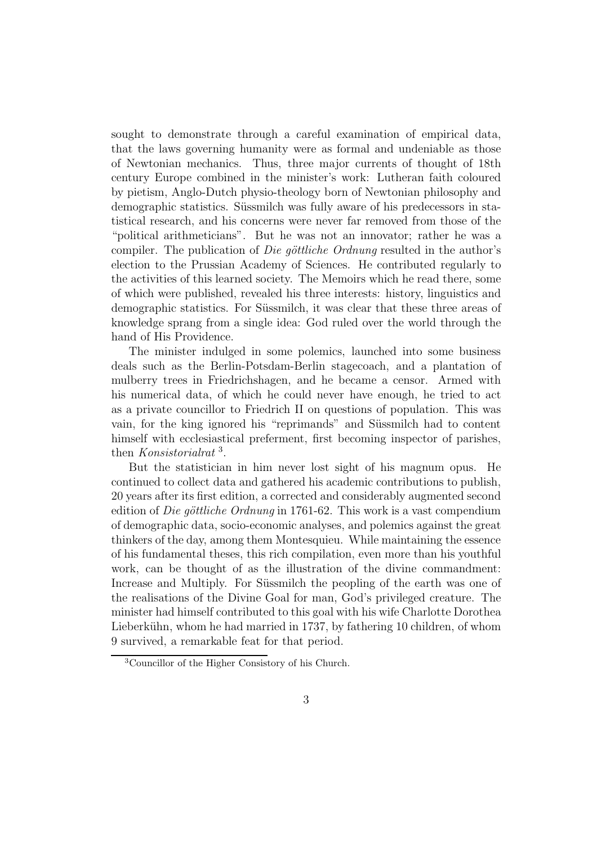sought to demonstrate through a careful examination of empirical data, that the laws governing humanity were as formal and undeniable as those of Newtonian mechanics. Thus, three major currents of thought of 18th century Europe combined in the minister's work: Lutheran faith coloured by pietism, Anglo-Dutch physio-theology born of Newtonian philosophy and demographic statistics. Süssmilch was fully aware of his predecessors in statistical research, and his concerns were never far removed from those of the "political arithmeticians". But he was not an innovator; rather he was a compiler. The publication of *Die göttliche Ordnung* resulted in the author's election to the Prussian Academy of Sciences. He contributed regularly to the activities of this learned society. The Memoirs which he read there, some of which were published, revealed his three interests: history, linguistics and demographic statistics. For Süssmilch, it was clear that these three areas of knowledge sprang from a single idea: God ruled over the world through the hand of His Providence.

The minister indulged in some polemics, launched into some business deals such as the Berlin-Potsdam-Berlin stagecoach, and a plantation of mulberry trees in Friedrichshagen, and he became a censor. Armed with his numerical data, of which he could never have enough, he tried to act as a private councillor to Friedrich II on questions of population. This was vain, for the king ignored his "reprimands" and Süssmilch had to content himself with ecclesiastical preferment, first becoming inspector of parishes, then Konsistorialrat<sup>3</sup>.

But the statistician in him never lost sight of his magnum opus. He continued to collect data and gathered his academic contributions to publish, 20 years after its first edition, a corrected and considerably augmented second edition of *Die göttliche Ordnung* in 1761-62. This work is a vast compendium of demographic data, socio-economic analyses, and polemics against the great thinkers of the day, among them Montesquieu. While maintaining the essence of his fundamental theses, this rich compilation, even more than his youthful work, can be thought of as the illustration of the divine commandment: Increase and Multiply. For Süssmilch the peopling of the earth was one of the realisations of the Divine Goal for man, God's privileged creature. The minister had himself contributed to this goal with his wife Charlotte Dorothea Lieberkühn, whom he had married in 1737, by fathering 10 children, of whom 9 survived, a remarkable feat for that period.

<sup>3</sup>Councillor of the Higher Consistory of his Church.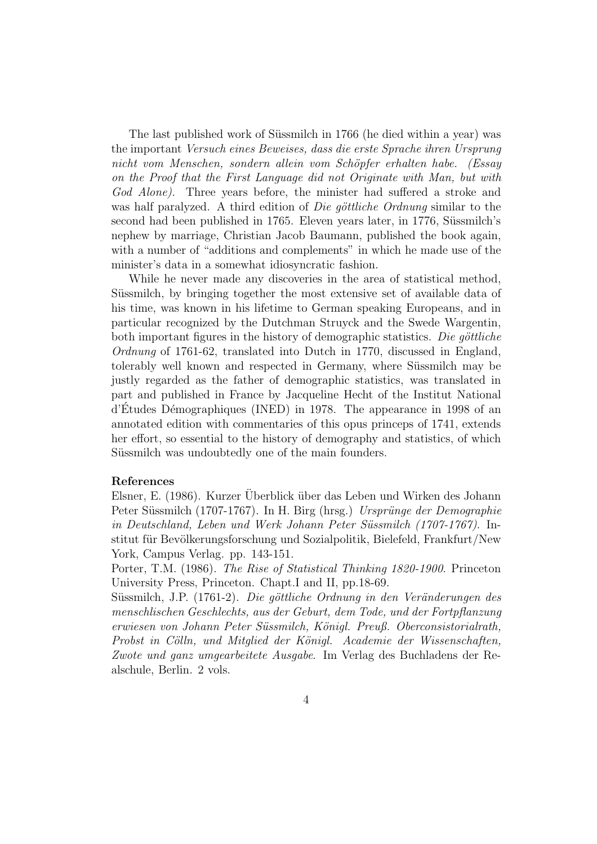The last published work of Süssmilch in 1766 (he died within a year) was the important Versuch eines Beweises, dass die erste Sprache ihren Ursprung nicht vom Menschen, sondern allein vom Schöpfer erhalten habe. (Essay on the Proof that the First Language did not Originate with Man, but with God Alone). Three years before, the minister had suffered a stroke and was half paralyzed. A third edition of *Die göttliche Ordnung* similar to the second had been published in 1765. Eleven years later, in 1776, Süssmilch's nephew by marriage, Christian Jacob Baumann, published the book again, with a number of "additions and complements" in which he made use of the minister's data in a somewhat idiosyncratic fashion.

While he never made any discoveries in the area of statistical method, Süssmilch, by bringing together the most extensive set of available data of his time, was known in his lifetime to German speaking Europeans, and in particular recognized by the Dutchman Struyck and the Swede Wargentin, both important figures in the history of demographic statistics. Die göttliche Ordnung of 1761-62, translated into Dutch in 1770, discussed in England, tolerably well known and respected in Germany, where Süssmilch may be justly regarded as the father of demographic statistics, was translated in part and published in France by Jacqueline Hecht of the Institut National  $d'Etudes$  Démographiques (INED) in 1978. The appearance in 1998 of an annotated edition with commentaries of this opus princeps of 1741, extends her effort, so essential to the history of demography and statistics, of which Süssmilch was undoubtedly one of the main founders.

## References

Elsner, E. (1986). Kurzer Überblick über das Leben und Wirken des Johann Peter Süssmilch (1707-1767). In H. Birg (hrsg.) Ursprünge der Demographie in Deutschland, Leben und Werk Johann Peter Süssmilch (1707-1767). Institut für Bevölkerungsforschung und Sozialpolitik, Bielefeld, Frankfurt/New York, Campus Verlag. pp. 143-151.

Porter, T.M. (1986). The Rise of Statistical Thinking 1820-1900. Princeton University Press, Princeton. Chapt.I and II, pp.18-69.

Süssmilch, J.P. (1761-2). Die göttliche Ordnung in den Veränderungen des menschlischen Geschlechts, aus der Geburt, dem Tode, und der Fortpflanzung erwiesen von Johann Peter Süssmilch, Königl. Preuß. Oberconsistorialrath, Probst in Cölln, und Mitglied der Königl. Academie der Wissenschaften, Zwote und ganz umgearbeitete Ausgabe. Im Verlag des Buchladens der Realschule, Berlin. 2 vols.